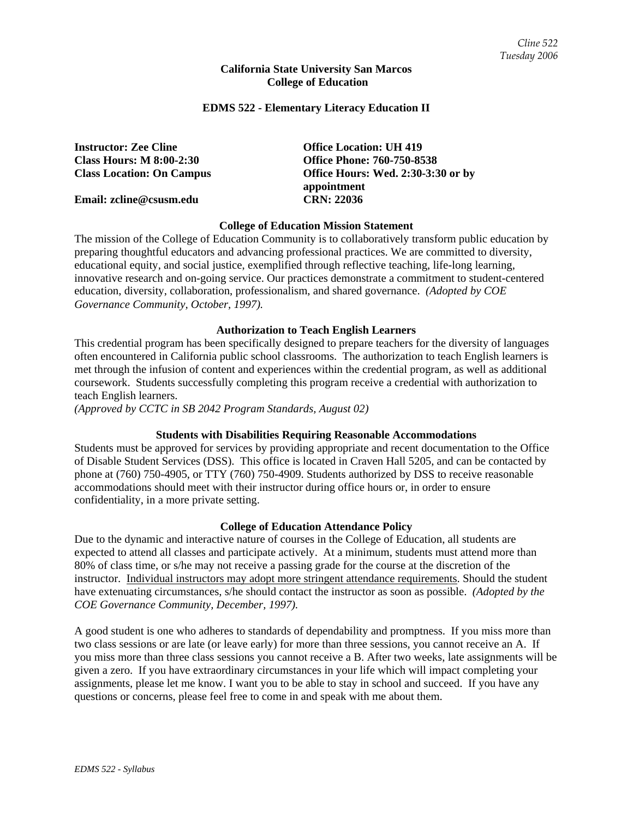### **California State University San Marcos College of Education**

### **EDMS 522 - Elementary Literacy Education II**

**Class Hours: M 8:00-2:30 Office Phone: 760-750-8538** 

**Email: zcline@csusm.edu CRN: 22036** 

**Instructor: Zee Cline Community Construction: UH 419 Class Location: On Campus Office Hours: Wed. 2:30-3:30 or by appointment** 

### **College of Education Mission Statement**

The mission of the College of Education Community is to collaboratively transform public education by preparing thoughtful educators and advancing professional practices. We are committed to diversity, educational equity, and social justice, exemplified through reflective teaching, life-long learning, innovative research and on-going service. Our practices demonstrate a commitment to student-centered education, diversity, collaboration, professionalism, and shared governance. *(Adopted by COE Governance Community, October, 1997).* 

### **Authorization to Teach English Learners**

This credential program has been specifically designed to prepare teachers for the diversity of languages often encountered in California public school classrooms. The authorization to teach English learners is met through the infusion of content and experiences within the credential program, as well as additional coursework. Students successfully completing this program receive a credential with authorization to teach English learners.

*(Approved by CCTC in SB 2042 Program Standards, August 02)*

### **Students with Disabilities Requiring Reasonable Accommodations**

Students must be approved for services by providing appropriate and recent documentation to the Office of Disable Student Services (DSS). This office is located in Craven Hall 5205, and can be contacted by phone at (760) 750-4905, or TTY (760) 750-4909. Students authorized by DSS to receive reasonable accommodations should meet with their instructor during office hours or, in order to ensure confidentiality, in a more private setting.

### **College of Education Attendance Policy**

Due to the dynamic and interactive nature of courses in the College of Education, all students are expected to attend all classes and participate actively. At a minimum, students must attend more than 80% of class time, or s/he may not receive a passing grade for the course at the discretion of the instructor. Individual instructors may adopt more stringent attendance requirements. Should the student have extenuating circumstances, s/he should contact the instructor as soon as possible. *(Adopted by the COE Governance Community, December, 1997).*

A good student is one who adheres to standards of dependability and promptness. If you miss more than two class sessions or are late (or leave early) for more than three sessions, you cannot receive an A. If you miss more than three class sessions you cannot receive a B. After two weeks, late assignments will be given a zero. If you have extraordinary circumstances in your life which will impact completing your assignments, please let me know. I want you to be able to stay in school and succeed. If you have any questions or concerns, please feel free to come in and speak with me about them.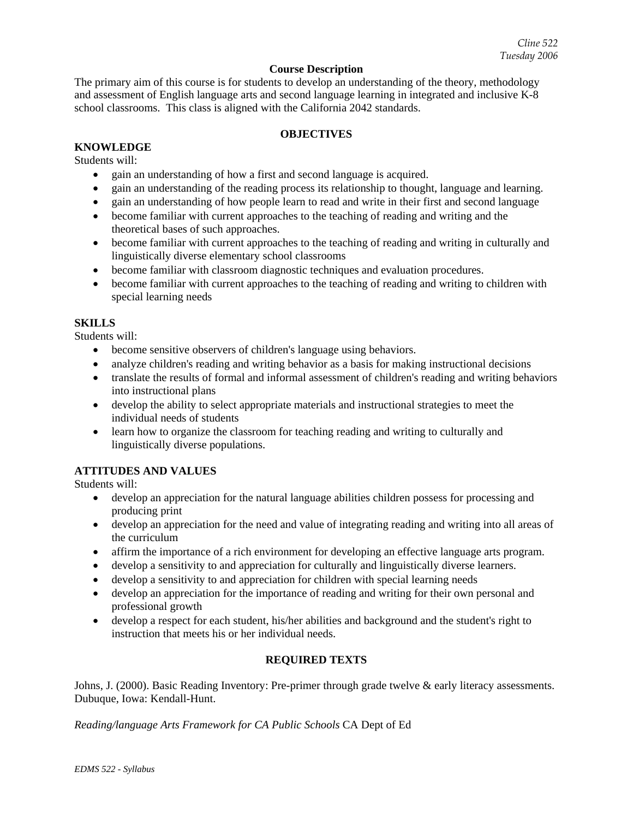### **Course Description**

The primary aim of this course is for students to develop an understanding of the theory, methodology and assessment of English language arts and second language learning in integrated and inclusive K-8 school classrooms. This class is aligned with the California 2042 standards.

# **OBJECTIVES**

# **KNOWLEDGE**

Students will:

- gain an understanding of how a first and second language is acquired.
- gain an understanding of the reading process its relationship to thought, language and learning.
- gain an understanding of how people learn to read and write in their first and second language
- become familiar with current approaches to the teaching of reading and writing and the theoretical bases of such approaches.
- become familiar with current approaches to the teaching of reading and writing in culturally and linguistically diverse elementary school classrooms
- become familiar with classroom diagnostic techniques and evaluation procedures.
- become familiar with current approaches to the teaching of reading and writing to children with special learning needs

### **SKILLS**

Students will:

- become sensitive observers of children's language using behaviors.
- analyze children's reading and writing behavior as a basis for making instructional decisions
- translate the results of formal and informal assessment of children's reading and writing behaviors into instructional plans
- develop the ability to select appropriate materials and instructional strategies to meet the individual needs of students
- learn how to organize the classroom for teaching reading and writing to culturally and linguistically diverse populations.

## **ATTITUDES AND VALUES**

Students will:

- develop an appreciation for the natural language abilities children possess for processing and producing print
- develop an appreciation for the need and value of integrating reading and writing into all areas of the curriculum
- affirm the importance of a rich environment for developing an effective language arts program.
- develop a sensitivity to and appreciation for culturally and linguistically diverse learners.
- develop a sensitivity to and appreciation for children with special learning needs
- develop an appreciation for the importance of reading and writing for their own personal and professional growth
- develop a respect for each student, his/her abilities and background and the student's right to instruction that meets his or her individual needs.

# **REQUIRED TEXTS**

Johns, J. (2000). Basic Reading Inventory: Pre-primer through grade twelve & early literacy assessments. Dubuque, Iowa: Kendall-Hunt.

*Reading/language Arts Framework for CA Public Schools* CA Dept of Ed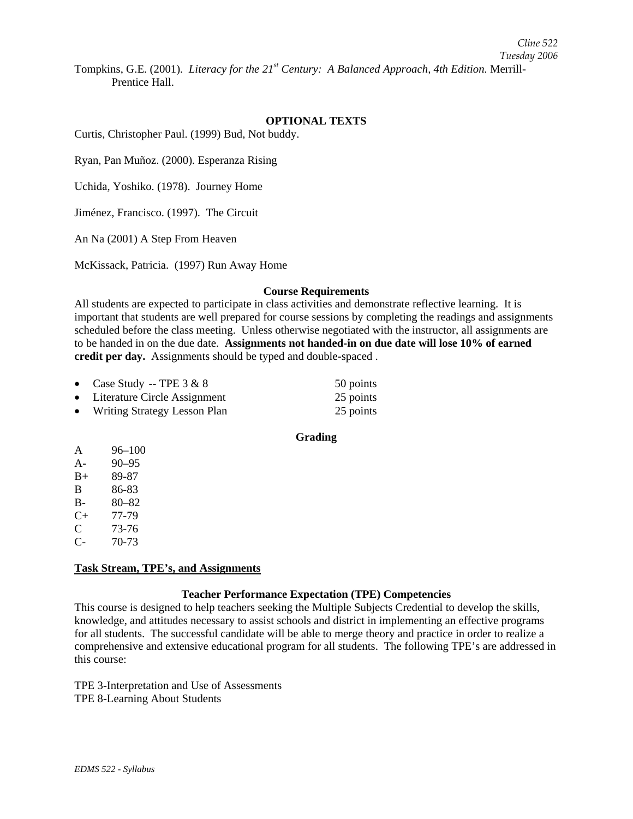Tompkins, G.E. (2001). *Literacy for the 21st Century: A Balanced Approach, 4th Edition.* Merrill-Prentice Hall.

#### **OPTIONAL TEXTS**

Curtis, Christopher Paul. (1999) Bud, Not buddy.

Ryan, Pan Muñoz. (2000). Esperanza Rising

Uchida, Yoshiko. (1978). Journey Home

Jiménez, Francisco. (1997). The Circuit

An Na (2001) A Step From Heaven

McKissack, Patricia. (1997) Run Away Home

#### **Course Requirements**

All students are expected to participate in class activities and demonstrate reflective learning. It is important that students are well prepared for course sessions by completing the readings and assignments scheduled before the class meeting. Unless otherwise negotiated with the instructor, all assignments are to be handed in on the due date. **Assignments not handed-in on due date will lose 10% of earned credit per day.** Assignments should be typed and double-spaced .

|           | • Case Study -- TPE $3 & 8$         | 50 points |
|-----------|-------------------------------------|-----------|
|           | • Literature Circle Assignment      | 25 points |
| $\bullet$ | <b>Writing Strategy Lesson Plan</b> | 25 points |

# **Grading**

| A         | $96 - 100$ |
|-----------|------------|
| $A -$     | $90 - 95$  |
| $B+$      | 89-87      |
| B         | 86-83      |
| B-        | $80 - 82$  |
| $C_{\pm}$ | 77-79      |
| C         | 73-76      |
| С-        | 70-73      |

#### **Task Stream, TPE's, and Assignments**

#### **Teacher Performance Expectation (TPE) Competencies**

This course is designed to help teachers seeking the Multiple Subjects Credential to develop the skills, knowledge, and attitudes necessary to assist schools and district in implementing an effective programs for all students. The successful candidate will be able to merge theory and practice in order to realize a comprehensive and extensive educational program for all students. The following TPE's are addressed in this course:

TPE 3-Interpretation and Use of Assessments TPE 8-Learning About Students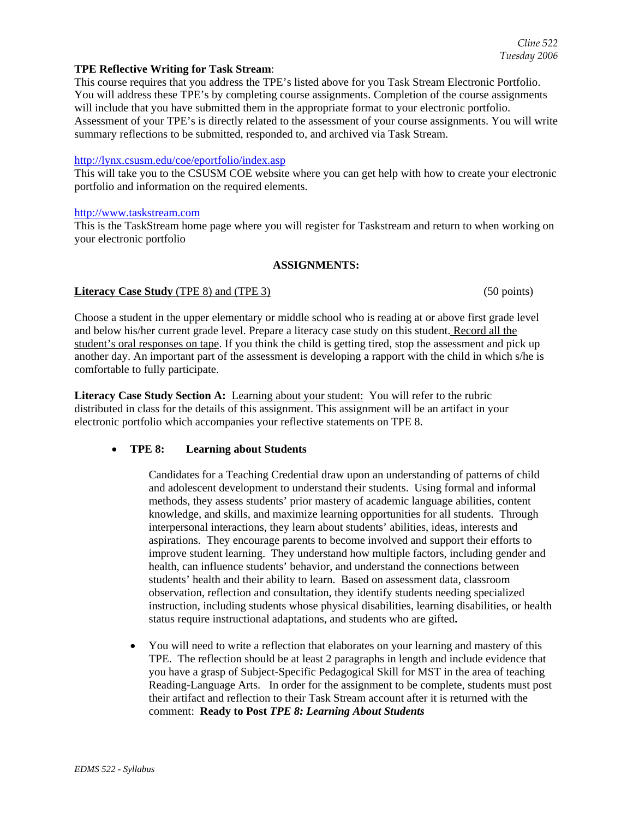### **TPE Reflective Writing for Task Stream**:

This course requires that you address the TPE's listed above for you Task Stream Electronic Portfolio. You will address these TPE's by completing course assignments. Completion of the course assignments will include that you have submitted them in the appropriate format to your electronic portfolio. Assessment of your TPE's is directly related to the assessment of your course assignments. You will write summary reflections to be submitted, responded to, and archived via Task Stream.

#### http://lynx.csusm.edu/coe/eportfolio/index.asp

This will take you to the CSUSM COE website where you can get help with how to create your electronic portfolio and information on the required elements.

#### http://www.taskstream.com

This is the TaskStream home page where you will register for Taskstream and return to when working on your electronic portfolio

#### **ASSIGNMENTS:**

#### **Literacy Case Study** (TPE 8) and (TPE 3) (50 points) (50 points)

Choose a student in the upper elementary or middle school who is reading at or above first grade level and below his/her current grade level. Prepare a literacy case study on this student. Record all the student's oral responses on tape. If you think the child is getting tired, stop the assessment and pick up another day. An important part of the assessment is developing a rapport with the child in which s/he is comfortable to fully participate.

**Literacy Case Study Section A:** Learning about your student: You will refer to the rubric distributed in class for the details of this assignment. This assignment will be an artifact in your electronic portfolio which accompanies your reflective statements on TPE 8.

### • **TPE 8: Learning about Students**

Candidates for a Teaching Credential draw upon an understanding of patterns of child and adolescent development to understand their students. Using formal and informal methods, they assess students' prior mastery of academic language abilities, content knowledge, and skills, and maximize learning opportunities for all students. Through interpersonal interactions, they learn about students' abilities, ideas, interests and aspirations. They encourage parents to become involved and support their efforts to improve student learning. They understand how multiple factors, including gender and health, can influence students' behavior, and understand the connections between students' health and their ability to learn.Based on assessment data, classroom observation, reflection and consultation, they identify students needing specialized instruction, including students whose physical disabilities, learning disabilities, or health status require instructional adaptations, and students who are gifted**.** 

• You will need to write a reflection that elaborates on your learning and mastery of this TPE. The reflection should be at least 2 paragraphs in length and include evidence that you have a grasp of Subject-Specific Pedagogical Skill for MST in the area of teaching Reading-Language Arts. In order for the assignment to be complete, students must post their artifact and reflection to their Task Stream account after it is returned with the comment: **Ready to Post** *TPE 8: Learning About Students*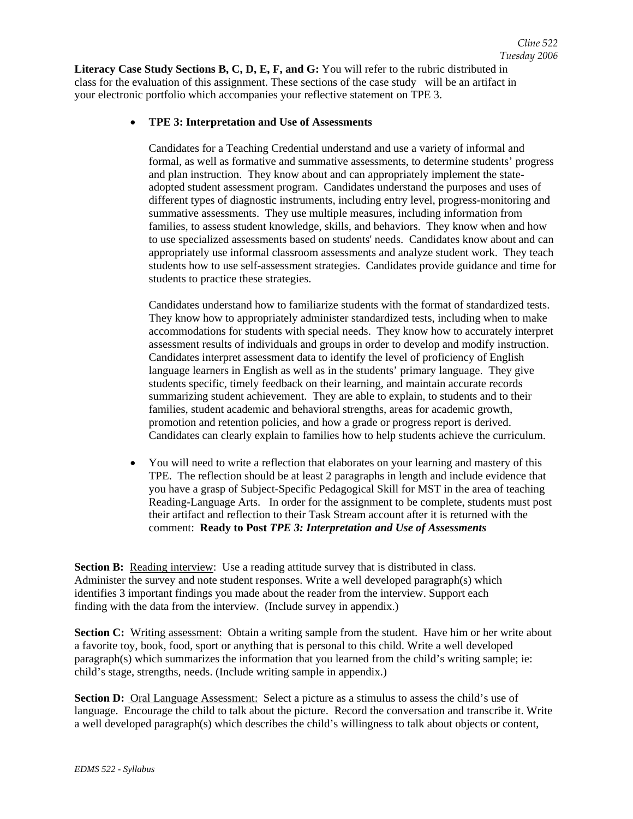**Literacy Case Study Sections B, C, D, E, F, and G:** You will refer to the rubric distributed in class for the evaluation of this assignment. These sections of the case study will be an artifact in your electronic portfolio which accompanies your reflective statement on TPE 3.

### • **TPE 3: Interpretation and Use of Assessments**

Candidates for a Teaching Credential understand and use a variety of informal and formal, as well as formative and summative assessments, to determine students' progress and plan instruction. They know about and can appropriately implement the stateadopted student assessment program. Candidates understand the purposes and uses of different types of diagnostic instruments, including entry level, progress-monitoring and summative assessments. They use multiple measures, including information from families, to assess student knowledge, skills, and behaviors. They know when and how to use specialized assessments based on students' needs. Candidates know about and can appropriately use informal classroom assessments and analyze student work. They teach students how to use self-assessment strategies. Candidates provide guidance and time for students to practice these strategies.

Candidates understand how to familiarize students with the format of standardized tests. They know how to appropriately administer standardized tests, including when to make accommodations for students with special needs. They know how to accurately interpret assessment results of individuals and groups in order to develop and modify instruction. Candidates interpret assessment data to identify the level of proficiency of English language learners in English as well as in the students' primary language. They give students specific, timely feedback on their learning, and maintain accurate records summarizing student achievement. They are able to explain, to students and to their families, student academic and behavioral strengths, areas for academic growth, promotion and retention policies, and how a grade or progress report is derived. Candidates can clearly explain to families how to help students achieve the curriculum.

• You will need to write a reflection that elaborates on your learning and mastery of this TPE. The reflection should be at least 2 paragraphs in length and include evidence that you have a grasp of Subject-Specific Pedagogical Skill for MST in the area of teaching Reading-Language Arts. In order for the assignment to be complete, students must post their artifact and reflection to their Task Stream account after it is returned with the comment: **Ready to Post** *TPE 3: Interpretation and Use of Assessments*

**Section B:** Reading interview: Use a reading attitude survey that is distributed in class. Administer the survey and note student responses. Write a well developed paragraph(s) which identifies 3 important findings you made about the reader from the interview. Support each finding with the data from the interview. (Include survey in appendix.)

**Section C:** Writing assessment: Obtain a writing sample from the student. Have him or her write about a favorite toy, book, food, sport or anything that is personal to this child. Write a well developed paragraph(s) which summarizes the information that you learned from the child's writing sample; ie: child's stage, strengths, needs. (Include writing sample in appendix.)

**Section D:** Oral Language Assessment: Select a picture as a stimulus to assess the child's use of language. Encourage the child to talk about the picture. Record the conversation and transcribe it. Write a well developed paragraph(s) which describes the child's willingness to talk about objects or content,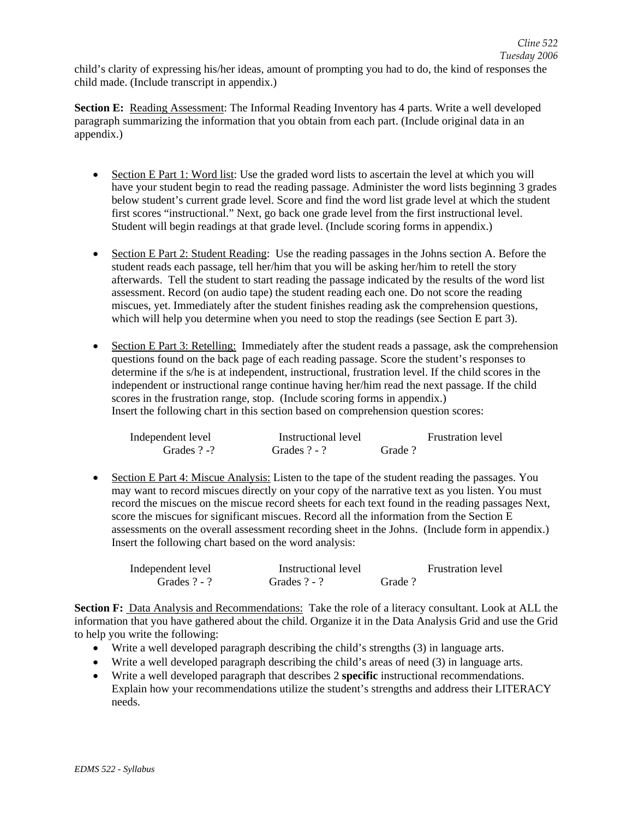child's clarity of expressing his/her ideas, amount of prompting you had to do, the kind of responses the child made. (Include transcript in appendix.)

**Section E:** Reading Assessment: The Informal Reading Inventory has 4 parts. Write a well developed paragraph summarizing the information that you obtain from each part. (Include original data in an appendix.)

- Section E Part 1: Word list: Use the graded word lists to ascertain the level at which you will have your student begin to read the reading passage. Administer the word lists beginning 3 grades below student's current grade level. Score and find the word list grade level at which the student first scores "instructional." Next, go back one grade level from the first instructional level. Student will begin readings at that grade level. (Include scoring forms in appendix.)
- Section E Part 2: Student Reading: Use the reading passages in the Johns section A. Before the student reads each passage, tell her/him that you will be asking her/him to retell the story afterwards. Tell the student to start reading the passage indicated by the results of the word list assessment. Record (on audio tape) the student reading each one. Do not score the reading miscues, yet. Immediately after the student finishes reading ask the comprehension questions, which will help you determine when you need to stop the readings (see Section E part 3).
- Section E Part 3: Retelling: Immediately after the student reads a passage, ask the comprehension questions found on the back page of each reading passage. Score the student's responses to determine if the s/he is at independent, instructional, frustration level. If the child scores in the independent or instructional range continue having her/him read the next passage. If the child scores in the frustration range, stop. (Include scoring forms in appendix.) Insert the following chart in this section based on comprehension question scores:

| Independent level | Instructional level |        | <b>Frustration level</b> |
|-------------------|---------------------|--------|--------------------------|
| Grades $? - ?$    | Grades $? - ?$      | Grade? |                          |

• Section E Part 4: Miscue Analysis: Listen to the tape of the student reading the passages. You may want to record miscues directly on your copy of the narrative text as you listen. You must record the miscues on the miscue record sheets for each text found in the reading passages Next, score the miscues for significant miscues. Record all the information from the Section E assessments on the overall assessment recording sheet in the Johns. (Include form in appendix.) Insert the following chart based on the word analysis:

| Independent level | Instructional level |        | <b>Frustration level</b> |
|-------------------|---------------------|--------|--------------------------|
| Grades $? - ?$    | Grades $? - ?$      | Grade? |                          |

**Section F:** Data Analysis and Recommendations: Take the role of a literacy consultant. Look at ALL the information that you have gathered about the child. Organize it in the Data Analysis Grid and use the Grid to help you write the following:

- Write a well developed paragraph describing the child's strengths (3) in language arts.
- Write a well developed paragraph describing the child's areas of need (3) in language arts.
- Write a well developed paragraph that describes 2 **specific** instructional recommendations. Explain how your recommendations utilize the student's strengths and address their LITERACY needs.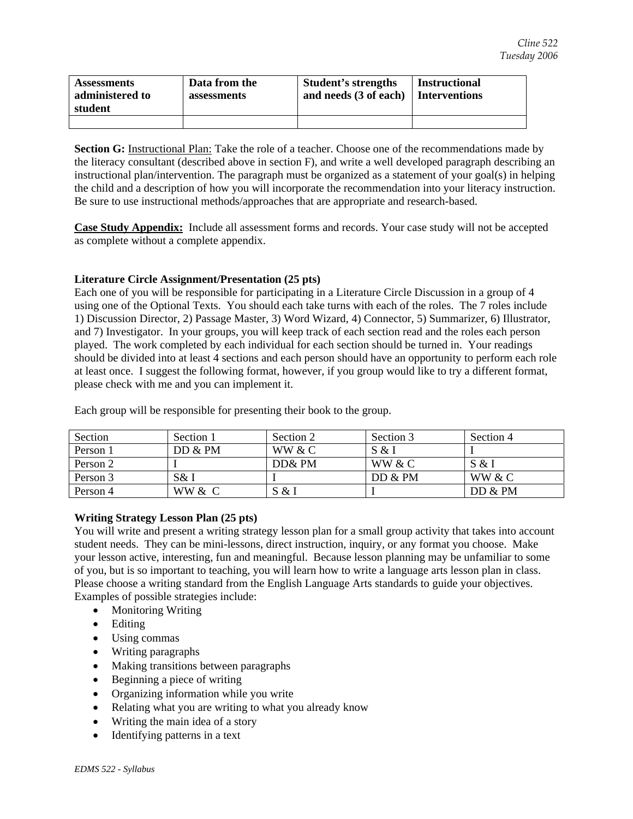| <b>Assessments</b><br>administered to<br>student | Data from the<br>assessments | <b>Student's strengths</b><br>and needs $(3 \text{ of each})$ Interventions | <b>Instructional</b> |
|--------------------------------------------------|------------------------------|-----------------------------------------------------------------------------|----------------------|
|                                                  |                              |                                                                             |                      |

**Section G:** Instructional Plan: Take the role of a teacher. Choose one of the recommendations made by the literacy consultant (described above in section F), and write a well developed paragraph describing an instructional plan/intervention. The paragraph must be organized as a statement of your goal(s) in helping the child and a description of how you will incorporate the recommendation into your literacy instruction. Be sure to use instructional methods/approaches that are appropriate and research-based.

**Case Study Appendix:** Include all assessment forms and records. Your case study will not be accepted as complete without a complete appendix.

### **Literature Circle Assignment/Presentation (25 pts)**

Each one of you will be responsible for participating in a Literature Circle Discussion in a group of 4 using one of the Optional Texts. You should each take turns with each of the roles. The 7 roles include 1) Discussion Director, 2) Passage Master, 3) Word Wizard, 4) Connector, 5) Summarizer, 6) Illustrator, and 7) Investigator. In your groups, you will keep track of each section read and the roles each person played. The work completed by each individual for each section should be turned in. Your readings should be divided into at least 4 sections and each person should have an opportunity to perform each role at least once. I suggest the following format, however, if you group would like to try a different format, please check with me and you can implement it.

| Section  | Section 1 | Section 2 | Section 3 | Section 4 |
|----------|-----------|-----------|-----------|-----------|
| Person 1 | DD & PM   | WW & C    | S & I     |           |
| Person 2 |           | DD& PM    | WW & C    | S & I     |
| Person 3 | S& I      |           | DD & PM   | WW & C    |
| Person 4 | WW & C    | S & I     |           | DD & PM   |

Each group will be responsible for presenting their book to the group.

### **Writing Strategy Lesson Plan (25 pts)**

You will write and present a writing strategy lesson plan for a small group activity that takes into account student needs. They can be mini-lessons, direct instruction, inquiry, or any format you choose. Make your lesson active, interesting, fun and meaningful. Because lesson planning may be unfamiliar to some of you, but is so important to teaching, you will learn how to write a language arts lesson plan in class. Please choose a writing standard from the English Language Arts standards to guide your objectives. Examples of possible strategies include:

- Monitoring Writing
- Editing
- Using commas
- Writing paragraphs
- Making transitions between paragraphs
- Beginning a piece of writing
- Organizing information while you write
- Relating what you are writing to what you already know
- Writing the main idea of a story
- Identifying patterns in a text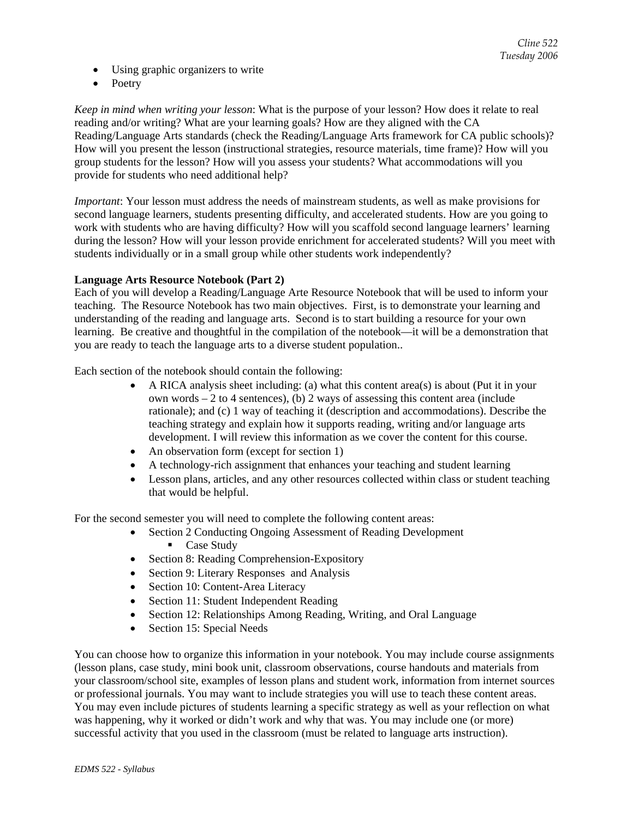- Using graphic organizers to write
- Poetry

*Keep in mind when writing your lesson*: What is the purpose of your lesson? How does it relate to real reading and/or writing? What are your learning goals? How are they aligned with the CA Reading/Language Arts standards (check the Reading/Language Arts framework for CA public schools)? How will you present the lesson (instructional strategies, resource materials, time frame)? How will you group students for the lesson? How will you assess your students? What accommodations will you provide for students who need additional help?

*Important*: Your lesson must address the needs of mainstream students, as well as make provisions for second language learners, students presenting difficulty, and accelerated students. How are you going to work with students who are having difficulty? How will you scaffold second language learners' learning during the lesson? How will your lesson provide enrichment for accelerated students? Will you meet with students individually or in a small group while other students work independently?

### **Language Arts Resource Notebook (Part 2)**

Each of you will develop a Reading/Language Arte Resource Notebook that will be used to inform your teaching. The Resource Notebook has two main objectives. First, is to demonstrate your learning and understanding of the reading and language arts. Second is to start building a resource for your own learning. Be creative and thoughtful in the compilation of the notebook—it will be a demonstration that you are ready to teach the language arts to a diverse student population..

Each section of the notebook should contain the following:

- A RICA analysis sheet including: (a) what this content area(s) is about (Put it in your own words – 2 to 4 sentences), (b) 2 ways of assessing this content area (include rationale); and (c) 1 way of teaching it (description and accommodations). Describe the teaching strategy and explain how it supports reading, writing and/or language arts development. I will review this information as we cover the content for this course.
- An observation form (except for section 1)
- A technology-rich assignment that enhances your teaching and student learning
- Lesson plans, articles, and any other resources collected within class or student teaching that would be helpful.

For the second semester you will need to complete the following content areas:

- Section 2 Conducting Ongoing Assessment of Reading Development Case Study
- Section 8: Reading Comprehension-Expository
- Section 9: Literary Responses and Analysis
- Section 10: Content-Area Literacy
- Section 11: Student Independent Reading
- Section 12: Relationships Among Reading, Writing, and Oral Language
- Section 15: Special Needs

You can choose how to organize this information in your notebook. You may include course assignments (lesson plans, case study, mini book unit, classroom observations, course handouts and materials from your classroom/school site, examples of lesson plans and student work, information from internet sources or professional journals. You may want to include strategies you will use to teach these content areas. You may even include pictures of students learning a specific strategy as well as your reflection on what was happening, why it worked or didn't work and why that was. You may include one (or more) successful activity that you used in the classroom (must be related to language arts instruction).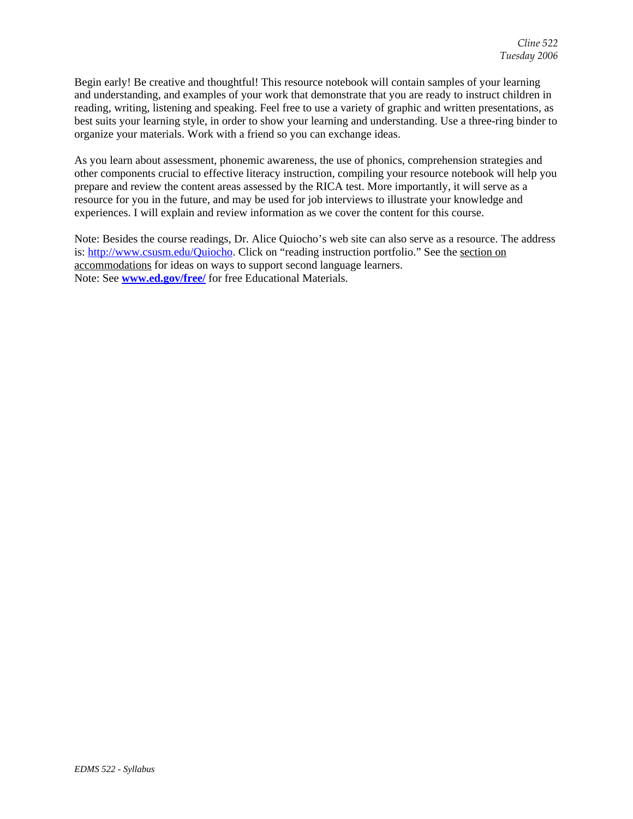Begin early! Be creative and thoughtful! This resource notebook will contain samples of your learning and understanding, and examples of your work that demonstrate that you are ready to instruct children in reading, writing, listening and speaking. Feel free to use a variety of graphic and written presentations, as best suits your learning style, in order to show your learning and understanding. Use a three-ring binder to organize your materials. Work with a friend so you can exchange ideas.

As you learn about assessment, phonemic awareness, the use of phonics, comprehension strategies and other components crucial to effective literacy instruction, compiling your resource notebook will help you prepare and review the content areas assessed by the RICA test. More importantly, it will serve as a resource for you in the future, and may be used for job interviews to illustrate your knowledge and experiences. I will explain and review information as we cover the content for this course.

Note: Besides the course readings, Dr. Alice Quiocho's web site can also serve as a resource. The address is: http://www.csusm.edu/Quiocho. Click on "reading instruction portfolio." See the section on accommodations for ideas on ways to support second language learners. Note: See **www.ed.gov/free/** for free Educational Materials.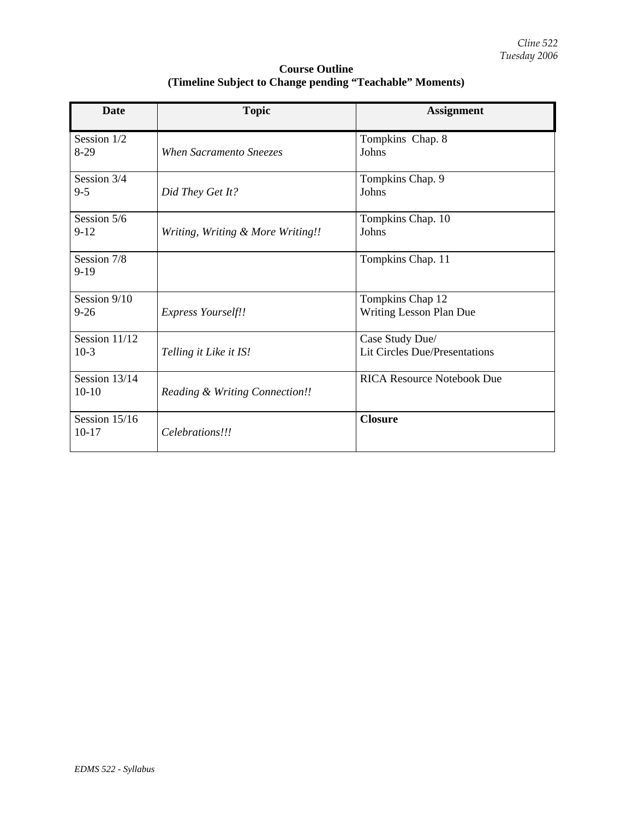| <b>Course Outline</b>                                    |
|----------------------------------------------------------|
| (Timeline Subject to Change pending "Teachable" Moments) |

| <b>Date</b>              | <b>Topic</b>                      | <b>Assignment</b>                                |
|--------------------------|-----------------------------------|--------------------------------------------------|
| Session 1/2<br>$8-29$    | When Sacramento Sneezes           | Tompkins Chap. 8<br>Johns                        |
| Session 3/4<br>$9 - 5$   | Did They Get It?                  | Tompkins Chap. 9<br>Johns                        |
| Session 5/6<br>$9 - 12$  | Writing, Writing & More Writing!! | Tompkins Chap. 10<br>Johns                       |
| Session 7/8<br>$9-19$    |                                   | Tompkins Chap. 11                                |
| Session 9/10<br>$9-26$   | <b>Express Yourself!!</b>         | Tompkins Chap 12<br>Writing Lesson Plan Due      |
| Session 11/12<br>$10-3$  | Telling it Like it IS!            | Case Study Due/<br>Lit Circles Due/Presentations |
| Session 13/14<br>$10-10$ | Reading & Writing Connection!!    | <b>RICA Resource Notebook Due</b>                |
| Session 15/16<br>$10-17$ | Celebrations!!!                   | <b>Closure</b>                                   |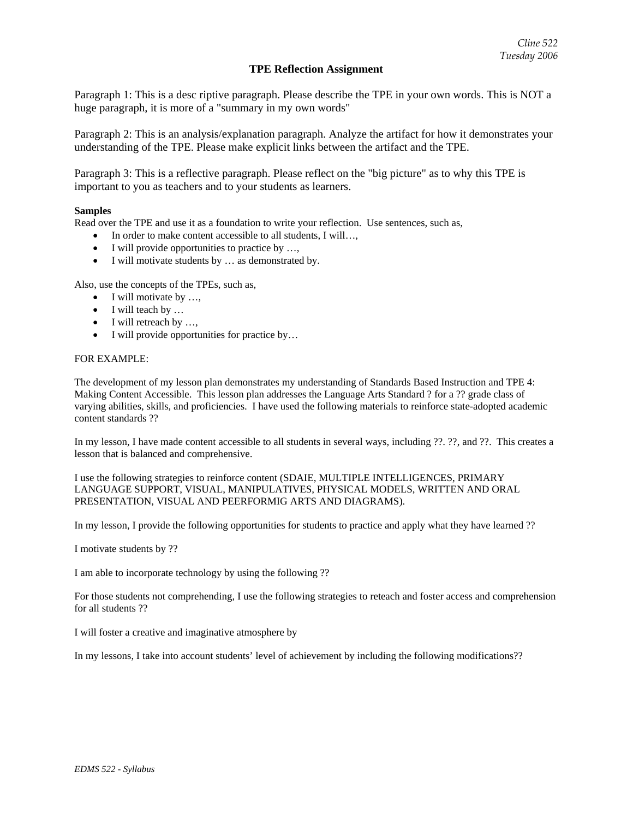### **TPE Reflection Assignment**

Paragraph 1: This is a desc riptive paragraph. Please describe the TPE in your own words. This is NOT a huge paragraph, it is more of a "summary in my own words"

Paragraph 2: This is an analysis/explanation paragraph. Analyze the artifact for how it demonstrates your understanding of the TPE. Please make explicit links between the artifact and the TPE.

Paragraph 3: This is a reflective paragraph. Please reflect on the "big picture" as to why this TPE is important to you as teachers and to your students as learners.

#### **Samples**

Read over the TPE and use it as a foundation to write your reflection. Use sentences, such as,

- In order to make content accessible to all students, I will…,
- I will provide opportunities to practice by ...,
- I will motivate students by … as demonstrated by.

Also, use the concepts of the TPEs, such as,

- I will motivate by ...
- I will teach by ...
- I will retreach by ...,
- I will provide opportunities for practice by...

#### FOR EXAMPLE:

The development of my lesson plan demonstrates my understanding of Standards Based Instruction and TPE 4: Making Content Accessible. This lesson plan addresses the Language Arts Standard ? for a ?? grade class of varying abilities, skills, and proficiencies. I have used the following materials to reinforce state-adopted academic content standards ??

In my lesson, I have made content accessible to all students in several ways, including ??. ??, and ??. This creates a lesson that is balanced and comprehensive.

I use the following strategies to reinforce content (SDAIE, MULTIPLE INTELLIGENCES, PRIMARY LANGUAGE SUPPORT, VISUAL, MANIPULATIVES, PHYSICAL MODELS, WRITTEN AND ORAL PRESENTATION, VISUAL AND PEERFORMIG ARTS AND DIAGRAMS).

In my lesson, I provide the following opportunities for students to practice and apply what they have learned ??

I motivate students by ??

I am able to incorporate technology by using the following ??

For those students not comprehending, I use the following strategies to reteach and foster access and comprehension for all students ??

I will foster a creative and imaginative atmosphere by

In my lessons, I take into account students' level of achievement by including the following modifications??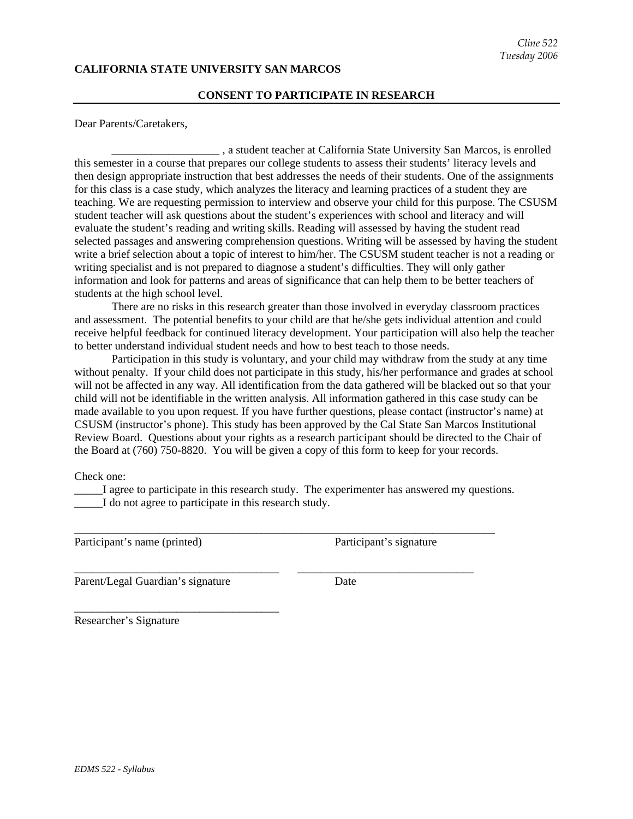### **CALIFORNIA STATE UNIVERSITY SAN MARCOS**

#### **CONSENT TO PARTICIPATE IN RESEARCH**

Dear Parents/Caretakers,

\_\_\_\_\_\_\_\_\_\_\_\_\_\_\_\_\_\_\_ , a student teacher at California State University San Marcos, is enrolled this semester in a course that prepares our college students to assess their students' literacy levels and then design appropriate instruction that best addresses the needs of their students. One of the assignments for this class is a case study, which analyzes the literacy and learning practices of a student they are teaching. We are requesting permission to interview and observe your child for this purpose. The CSUSM student teacher will ask questions about the student's experiences with school and literacy and will evaluate the student's reading and writing skills. Reading will assessed by having the student read selected passages and answering comprehension questions. Writing will be assessed by having the student write a brief selection about a topic of interest to him/her. The CSUSM student teacher is not a reading or writing specialist and is not prepared to diagnose a student's difficulties. They will only gather information and look for patterns and areas of significance that can help them to be better teachers of students at the high school level.

There are no risks in this research greater than those involved in everyday classroom practices and assessment. The potential benefits to your child are that he/she gets individual attention and could receive helpful feedback for continued literacy development. Your participation will also help the teacher to better understand individual student needs and how to best teach to those needs.

Participation in this study is voluntary, and your child may withdraw from the study at any time without penalty. If your child does not participate in this study, his/her performance and grades at school will not be affected in any way. All identification from the data gathered will be blacked out so that your child will not be identifiable in the written analysis. All information gathered in this case study can be made available to you upon request. If you have further questions, please contact (instructor's name) at CSUSM (instructor's phone). This study has been approved by the Cal State San Marcos Institutional Review Board. Questions about your rights as a research participant should be directed to the Chair of the Board at (760) 750-8820. You will be given a copy of this form to keep for your records.

Check one:

\_\_\_\_\_I agree to participate in this research study. The experimenter has answered my questions. I do not agree to participate in this research study.

\_\_\_\_\_\_\_\_\_\_\_\_\_\_\_\_\_\_\_\_\_\_\_\_\_\_\_\_\_\_\_\_\_\_\_\_\_\_\_\_\_\_\_\_\_\_\_\_\_\_\_\_\_\_\_\_\_\_\_\_\_\_\_\_\_\_\_\_\_\_\_\_\_\_

\_\_\_\_\_\_\_\_\_\_\_\_\_\_\_\_\_\_\_\_\_\_\_\_\_\_\_\_\_\_\_\_\_\_\_\_ \_\_\_\_\_\_\_\_\_\_\_\_\_\_\_\_\_\_\_\_\_\_\_\_\_\_\_\_\_\_\_

Participant's name (printed) Participant's signature

Parent/Legal Guardian's signature Date

\_\_\_\_\_\_\_\_\_\_\_\_\_\_\_\_\_\_\_\_\_\_\_\_\_\_\_\_\_\_\_\_\_\_\_\_

Researcher's Signature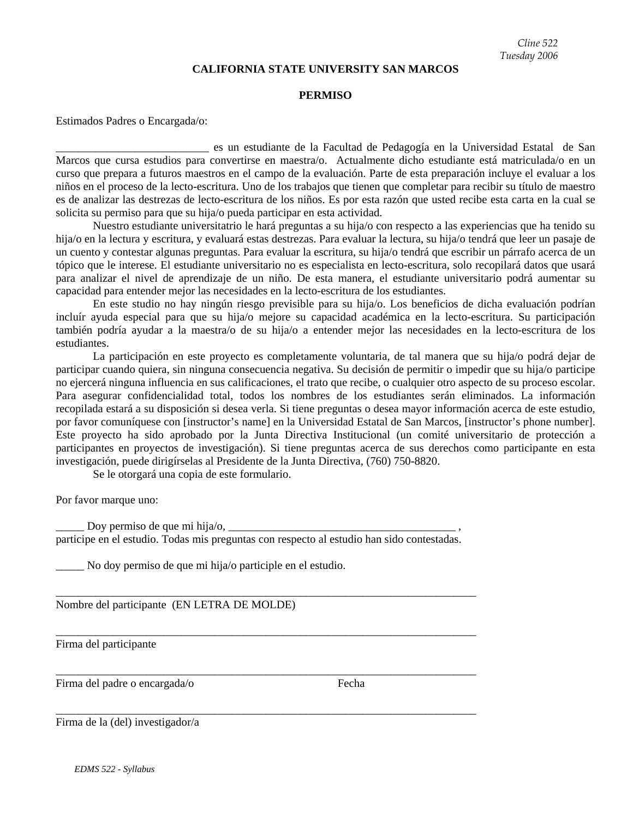#### **CALIFORNIA STATE UNIVERSITY SAN MARCOS**

#### **PERMISO**

Estimados Padres o Encargada/o:

\_\_\_\_\_\_\_\_\_\_\_\_\_\_\_\_\_\_\_\_\_\_\_\_\_\_\_ es un estudiante de la Facultad de Pedagogía en la Universidad Estatal de San Marcos que cursa estudios para convertirse en maestra/o. Actualmente dicho estudiante está matriculada/o en un curso que prepara a futuros maestros en el campo de la evaluación. Parte de esta preparación incluye el evaluar a los niños en el proceso de la lecto-escritura. Uno de los trabajos que tienen que completar para recibir su título de maestro es de analizar las destrezas de lecto-escritura de los niños. Es por esta razón que usted recibe esta carta en la cual se solicita su permiso para que su hija/o pueda participar en esta actividad.

Nuestro estudiante universitatrio le hará preguntas a su hija/o con respecto a las experiencias que ha tenido su hija/o en la lectura y escritura, y evaluará estas destrezas. Para evaluar la lectura, su hija/o tendrá que leer un pasaje de un cuento y contestar algunas preguntas. Para evaluar la escritura, su hija/o tendrá que escribir un párrafo acerca de un tópico que le interese. El estudiante universitario no es especialista en lecto-escritura, solo recopilará datos que usará para analizar el nivel de aprendizaje de un niño. De esta manera, el estudiante universitario podrá aumentar su capacidad para entender mejor las necesidades en la lecto-escritura de los estudiantes.

En este studio no hay ningún riesgo previsible para su hija/o. Los beneficios de dicha evaluación podrían incluír ayuda especial para que su hija/o mejore su capacidad académica en la lecto-escritura. Su participación también podría ayudar a la maestra/o de su hija/o a entender mejor las necesidades en la lecto-escritura de los estudiantes.

La participación en este proyecto es completamente voluntaria, de tal manera que su hija/o podrá dejar de participar cuando quiera, sin ninguna consecuencia negativa. Su decisión de permitir o impedir que su hija/o participe no ejercerá ninguna influencia en sus calificaciones, el trato que recibe, o cualquier otro aspecto de su proceso escolar. Para asegurar confidencialidad total, todos los nombres de los estudiantes serán eliminados. La información recopilada estará a su disposición si desea verla. Si tiene preguntas o desea mayor información acerca de este estudio, por favor comuníquese con [instructor's name] en la Universidad Estatal de San Marcos, [instructor's phone number]. Este proyecto ha sido aprobado por la Junta Directiva Institucional (un comité universitario de protección a participantes en proyectos de investigación). Si tiene preguntas acerca de sus derechos como participante en esta investigación, puede dirigírselas al Presidente de la Junta Directiva, (760) 750-8820.

Se le otorgará una copia de este formulario.

Por favor marque uno:

Doy permiso de que mi hija/o,  $\frac{1}{\sqrt{2\pi}}$ participe en el estudio. Todas mis preguntas con respecto al estudio han sido contestadas.

\_\_\_\_\_\_\_\_\_\_\_\_\_\_\_\_\_\_\_\_\_\_\_\_\_\_\_\_\_\_\_\_\_\_\_\_\_\_\_\_\_\_\_\_\_\_\_\_\_\_\_\_\_\_\_\_\_\_\_\_\_\_\_\_\_\_\_\_\_\_\_\_\_\_

\_\_\_\_\_\_\_\_\_\_\_\_\_\_\_\_\_\_\_\_\_\_\_\_\_\_\_\_\_\_\_\_\_\_\_\_\_\_\_\_\_\_\_\_\_\_\_\_\_\_\_\_\_\_\_\_\_\_\_\_\_\_\_\_\_\_\_\_\_\_\_\_\_\_

\_\_\_\_\_\_\_\_\_\_\_\_\_\_\_\_\_\_\_\_\_\_\_\_\_\_\_\_\_\_\_\_\_\_\_\_\_\_\_\_\_\_\_\_\_\_\_\_\_\_\_\_\_\_\_\_\_\_\_\_\_\_\_\_\_\_\_\_\_\_\_\_\_\_

\_\_\_\_\_\_\_\_\_\_\_\_\_\_\_\_\_\_\_\_\_\_\_\_\_\_\_\_\_\_\_\_\_\_\_\_\_\_\_\_\_\_\_\_\_\_\_\_\_\_\_\_\_\_\_\_\_\_\_\_\_\_\_\_\_\_\_\_\_\_\_\_\_\_

No doy permiso de que mi hija/o participle en el estudio.

Nombre del participante (EN LETRA DE MOLDE)

Firma del participante

Firma del padre o encargada/o Fecha

Firma de la (del) investigador/a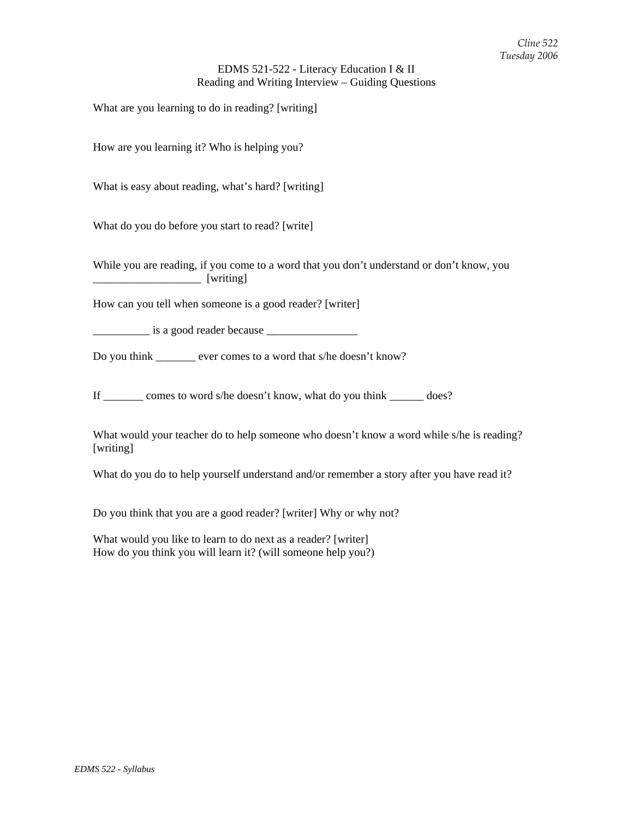### EDMS 521-522 - Literacy Education I & II Reading and Writing Interview – Guiding Questions

What are you learning to do in reading? [writing]

How are you learning it? Who is helping you?

What is easy about reading, what's hard? [writing]

What do you do before you start to read? [write]

While you are reading, if you come to a word that you don't understand or don't know, you \_\_\_\_\_\_\_\_\_\_\_\_\_\_\_\_\_\_\_ [writing]

How can you tell when someone is a good reader? [writer]

\_\_\_\_\_\_\_\_\_\_ is a good reader because \_\_\_\_\_\_\_\_\_\_\_\_\_\_\_\_

Do you think \_\_\_\_\_\_\_ ever comes to a word that s/he doesn't know?

If \_\_\_\_\_\_\_ comes to word s/he doesn't know, what do you think \_\_\_\_\_\_ does?

What would your teacher do to help someone who doesn't know a word while s/he is reading? [writing]

What do you do to help yourself understand and/or remember a story after you have read it?

Do you think that you are a good reader? [writer] Why or why not?

What would you like to learn to do next as a reader? [writer] How do you think you will learn it? (will someone help you?)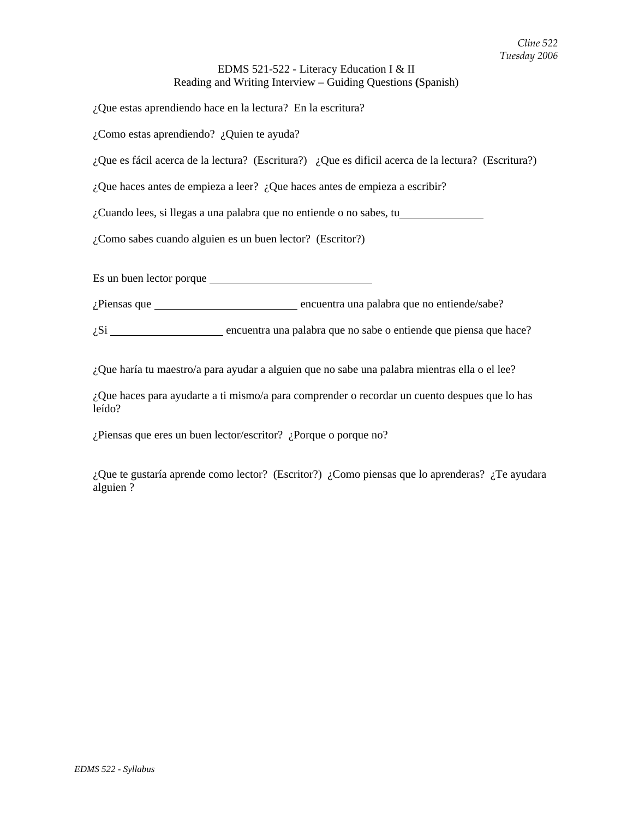## EDMS 521-522 - Literacy Education I & II Reading and Writing Interview – Guiding Questions **(**Spanish)

¿Que estas aprendiendo hace en la lectura? En la escritura?

¿Como estas aprendiendo? ¿Quien te ayuda?

¿Que es fácil acerca de la lectura? (Escritura?) ¿Que es dificil acerca de la lectura? (Escritura?)

¿Que haces antes de empieza a leer? ¿Que haces antes de empieza a escribir?

¿Cuando lees, si llegas a una palabra que no entiende o no sabes, tu

¿Como sabes cuando alguien es un buen lector? (Escritor?)

Es un buen lector porque

*i*Piensas que encuentra una palabra que no entiende/sabe?

 $i$ Si  $\frac{1}{2}$  encuentra una palabra que no sabe o entiende que piensa que hace?

¿Que haría tu maestro/a para ayudar a alguien que no sabe una palabra mientras ella o el lee?

¿Que haces para ayudarte a ti mismo/a para comprender o recordar un cuento despues que lo has leído?

¿Piensas que eres un buen lector/escritor? ¿Porque o porque no?

¿Que te gustaría aprende como lector? (Escritor?) ¿Como piensas que lo aprenderas? ¿Te ayudara alguien ?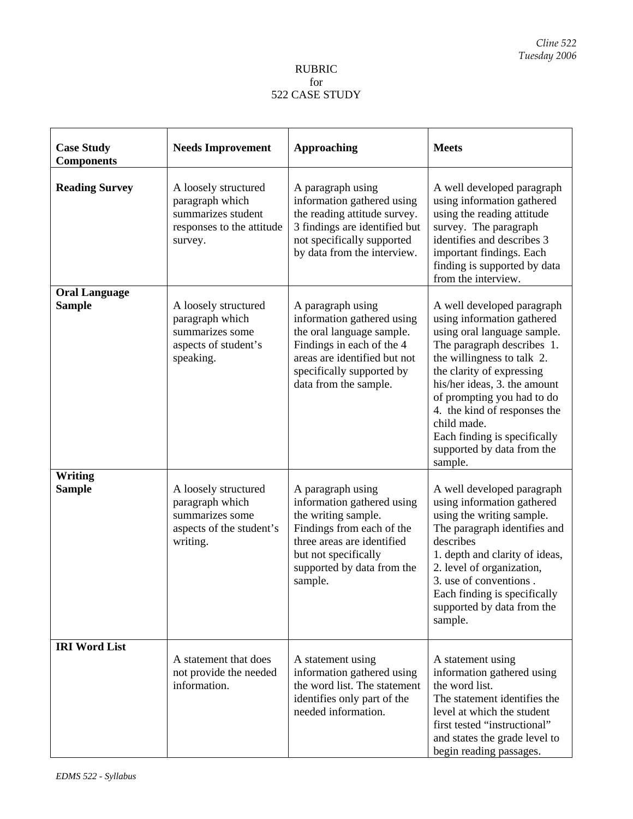### RUBRIC for 522 CASE STUDY

| <b>Case Study</b><br><b>Components</b> | <b>Needs Improvement</b>                                                                              | <b>Approaching</b>                                                                                                                                                                                 | <b>Meets</b>                                                                                                                                                                                                                                                                                                                                                           |
|----------------------------------------|-------------------------------------------------------------------------------------------------------|----------------------------------------------------------------------------------------------------------------------------------------------------------------------------------------------------|------------------------------------------------------------------------------------------------------------------------------------------------------------------------------------------------------------------------------------------------------------------------------------------------------------------------------------------------------------------------|
| <b>Reading Survey</b>                  | A loosely structured<br>paragraph which<br>summarizes student<br>responses to the attitude<br>survey. | A paragraph using<br>information gathered using<br>the reading attitude survey.<br>3 findings are identified but<br>not specifically supported<br>by data from the interview.                      | A well developed paragraph<br>using information gathered<br>using the reading attitude<br>survey. The paragraph<br>identifies and describes 3<br>important findings. Each<br>finding is supported by data<br>from the interview.                                                                                                                                       |
| <b>Oral Language</b><br><b>Sample</b>  | A loosely structured<br>paragraph which<br>summarizes some<br>aspects of student's<br>speaking.       | A paragraph using<br>information gathered using<br>the oral language sample.<br>Findings in each of the 4<br>areas are identified but not<br>specifically supported by<br>data from the sample.    | A well developed paragraph<br>using information gathered<br>using oral language sample.<br>The paragraph describes 1.<br>the willingness to talk 2.<br>the clarity of expressing<br>his/her ideas, 3. the amount<br>of prompting you had to do<br>4. the kind of responses the<br>child made.<br>Each finding is specifically<br>supported by data from the<br>sample. |
| <b>Writing</b><br><b>Sample</b>        | A loosely structured<br>paragraph which<br>summarizes some<br>aspects of the student's<br>writing.    | A paragraph using<br>information gathered using<br>the writing sample.<br>Findings from each of the<br>three areas are identified<br>but not specifically<br>supported by data from the<br>sample. | A well developed paragraph<br>using information gathered<br>using the writing sample.<br>The paragraph identifies and<br>describes<br>1. depth and clarity of ideas,<br>2. level of organization,<br>3. use of conventions.<br>Each finding is specifically<br>supported by data from the<br>sample.                                                                   |
| <b>IRI Word List</b>                   | A statement that does<br>not provide the needed<br>information.                                       | A statement using<br>information gathered using<br>the word list. The statement<br>identifies only part of the<br>needed information.                                                              | A statement using<br>information gathered using<br>the word list.<br>The statement identifies the<br>level at which the student<br>first tested "instructional"<br>and states the grade level to<br>begin reading passages.                                                                                                                                            |